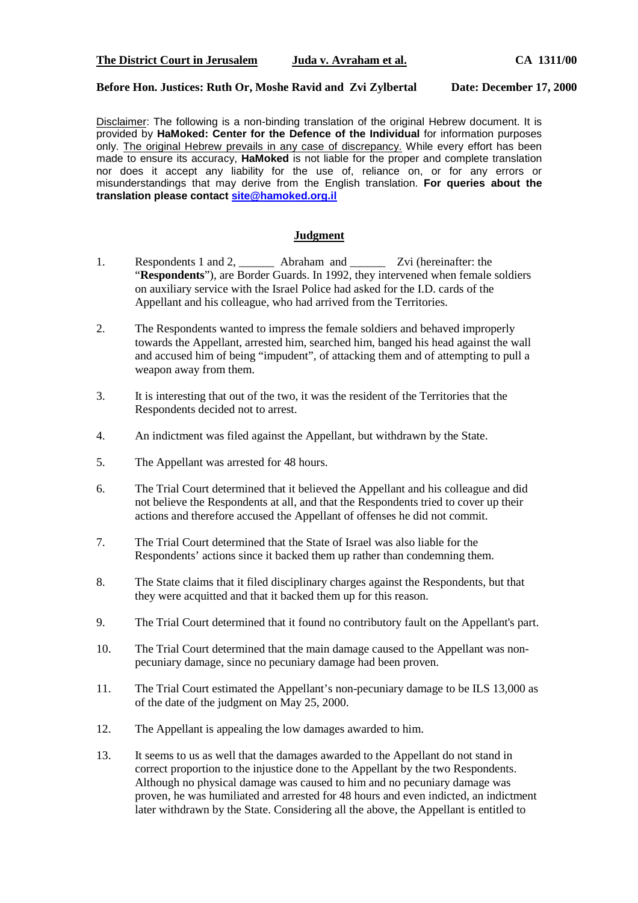## **Before Hon. Justices: Ruth Or, Moshe Ravid and Zvi Zylbertal Date: December 17, 2000**

Disclaimer: The following is a non-binding translation of the original Hebrew document. It is provided by **HaMoked: Center for the Defence of the Individual** for information purposes only. The original Hebrew prevails in any case of discrepancy. While every effort has been made to ensure its accuracy, **HaMoked** is not liable for the proper and complete translation nor does it accept any liability for the use of, reliance on, or for any errors or misunderstandings that may derive from the English translation. **For queries about the translation please contact site@hamoked.org.il**

## **Judgment**

- 1. Respondents 1 and 2, \_\_\_\_\_\_\_ Abraham and \_\_\_\_\_\_\_\_ Zvi (hereinafter: the "**Respondents**"), are Border Guards. In 1992, they intervened when female soldiers on auxiliary service with the Israel Police had asked for the I.D. cards of the Appellant and his colleague, who had arrived from the Territories.
- 2. The Respondents wanted to impress the female soldiers and behaved improperly towards the Appellant, arrested him, searched him, banged his head against the wall and accused him of being "impudent", of attacking them and of attempting to pull a weapon away from them.
- 3. It is interesting that out of the two, it was the resident of the Territories that the Respondents decided not to arrest.
- 4. An indictment was filed against the Appellant, but withdrawn by the State.
- 5. The Appellant was arrested for 48 hours.
- 6. The Trial Court determined that it believed the Appellant and his colleague and did not believe the Respondents at all, and that the Respondents tried to cover up their actions and therefore accused the Appellant of offenses he did not commit.
- 7. The Trial Court determined that the State of Israel was also liable for the Respondents' actions since it backed them up rather than condemning them.
- 8. The State claims that it filed disciplinary charges against the Respondents, but that they were acquitted and that it backed them up for this reason.
- 9. The Trial Court determined that it found no contributory fault on the Appellant's part.
- 10. The Trial Court determined that the main damage caused to the Appellant was nonpecuniary damage, since no pecuniary damage had been proven.
- 11. The Trial Court estimated the Appellant's non-pecuniary damage to be ILS 13,000 as of the date of the judgment on May 25, 2000.
- 12. The Appellant is appealing the low damages awarded to him.
- 13. It seems to us as well that the damages awarded to the Appellant do not stand in correct proportion to the injustice done to the Appellant by the two Respondents. Although no physical damage was caused to him and no pecuniary damage was proven, he was humiliated and arrested for 48 hours and even indicted, an indictment later withdrawn by the State. Considering all the above, the Appellant is entitled to